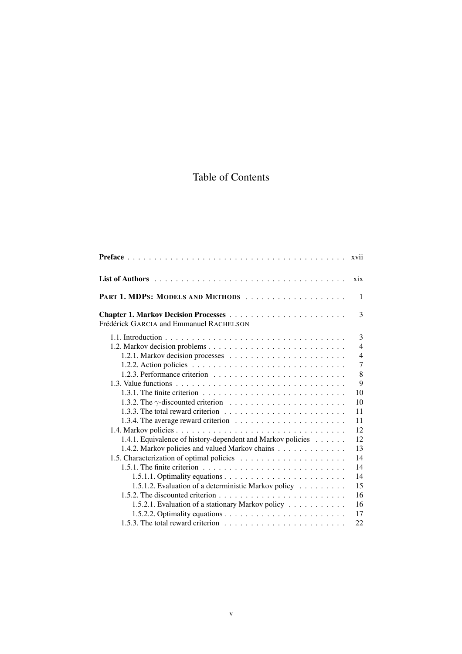# Table of Contents

|                                                                                              | xvii           |
|----------------------------------------------------------------------------------------------|----------------|
|                                                                                              | xix            |
| PART 1. MDPS: MODELS AND METHODS                                                             | $\mathbf{1}$   |
| Frédérick GARCIA and Emmanuel RACHELSON                                                      | 3              |
|                                                                                              | 3              |
|                                                                                              | $\overline{4}$ |
|                                                                                              | $\overline{4}$ |
|                                                                                              | $\overline{7}$ |
|                                                                                              | 8              |
|                                                                                              | 9              |
| 1.3.1. The finite criterion $\ldots \ldots \ldots \ldots \ldots \ldots \ldots \ldots \ldots$ | 10             |
|                                                                                              | 10             |
|                                                                                              | 11             |
|                                                                                              | 11             |
|                                                                                              | 12             |
| 1.4.1. Equivalence of history-dependent and Markov policies                                  | 12             |
| 1.4.2. Markov policies and valued Markov chains                                              | 13             |
|                                                                                              | 14             |
| 1.5.1. The finite criterion $\ldots \ldots \ldots \ldots \ldots \ldots \ldots \ldots \ldots$ | 14             |
|                                                                                              | 14             |
| 1.5.1.2. Evaluation of a deterministic Markov policy                                         | 15             |
|                                                                                              | 16             |
| 1.5.2.1. Evaluation of a stationary Markov policy                                            | 16             |
|                                                                                              | 17             |
| 1.5.3. The total reward criterion $\ldots \ldots \ldots \ldots \ldots \ldots \ldots$         | 22             |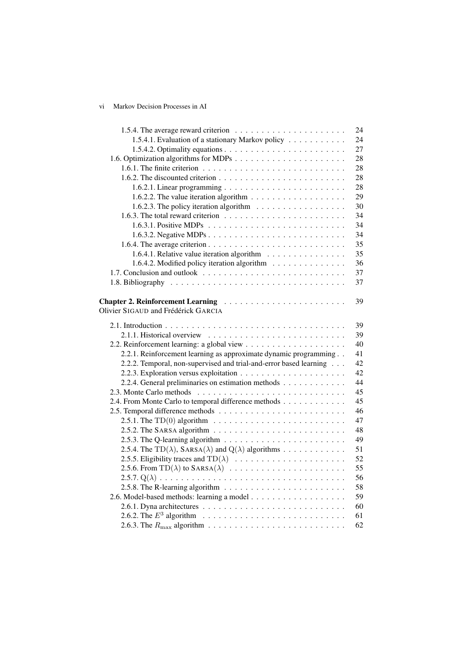# vi Markov Decision Processes in AI

|                                                                                                                                                                                               | 24 |
|-----------------------------------------------------------------------------------------------------------------------------------------------------------------------------------------------|----|
| 1.5.4.1. Evaluation of a stationary Markov policy                                                                                                                                             | 24 |
|                                                                                                                                                                                               | 27 |
|                                                                                                                                                                                               | 28 |
| 1.6.1. The finite criterion $\ldots \ldots \ldots \ldots \ldots \ldots \ldots \ldots \ldots$                                                                                                  | 28 |
| 1.6.2. The discounted criterion $\ldots \ldots \ldots \ldots \ldots \ldots \ldots \ldots$                                                                                                     | 28 |
|                                                                                                                                                                                               | 28 |
| 1.6.2.2. The value iteration algorithm $\dots \dots \dots \dots \dots \dots \dots$                                                                                                            | 29 |
| 1.6.2.3. The policy iteration algorithm $\ldots \ldots \ldots \ldots \ldots$                                                                                                                  | 30 |
| 1.6.3. The total reward criterion $\ldots \ldots \ldots \ldots \ldots \ldots \ldots$                                                                                                          | 34 |
| 1.6.3.1. Positive MDPs $\ldots \ldots \ldots \ldots \ldots \ldots \ldots \ldots$                                                                                                              | 34 |
|                                                                                                                                                                                               | 34 |
|                                                                                                                                                                                               | 35 |
| 1.6.4.1. Relative value iteration algorithm                                                                                                                                                   | 35 |
| 1.6.4.2. Modified policy iteration algorithm                                                                                                                                                  | 36 |
|                                                                                                                                                                                               | 37 |
|                                                                                                                                                                                               | 37 |
|                                                                                                                                                                                               |    |
|                                                                                                                                                                                               | 39 |
| Olivier SIGAUD and Frédérick GARCIA                                                                                                                                                           |    |
|                                                                                                                                                                                               | 39 |
|                                                                                                                                                                                               | 39 |
|                                                                                                                                                                                               | 40 |
| 2.2.1. Reinforcement learning as approximate dynamic programming                                                                                                                              | 41 |
| 2.2.2. Temporal, non-supervised and trial-and-error based learning                                                                                                                            | 42 |
|                                                                                                                                                                                               | 42 |
| 2.2.4. General preliminaries on estimation methods                                                                                                                                            | 44 |
|                                                                                                                                                                                               | 45 |
| 2.4. From Monte Carlo to temporal difference methods                                                                                                                                          | 45 |
|                                                                                                                                                                                               | 46 |
|                                                                                                                                                                                               | 47 |
|                                                                                                                                                                                               | 48 |
|                                                                                                                                                                                               | 49 |
| 2.5.4. The TD( $\lambda$ ), SARSA( $\lambda$ ) and Q( $\lambda$ ) algorithms                                                                                                                  | 51 |
| 2.5.5. Eligibility traces and $TD(\lambda) \dots \dots \dots \dots \dots \dots \dots \dots$                                                                                                   | 52 |
|                                                                                                                                                                                               | 55 |
|                                                                                                                                                                                               | 56 |
| $2.5.7. Q(\lambda) \ldots \ldots \ldots \ldots \ldots \ldots \ldots \ldots \ldots \ldots \ldots \ldots$<br>2.5.8. The R-learning algorithm $\ldots \ldots \ldots \ldots \ldots \ldots \ldots$ | 58 |
|                                                                                                                                                                                               | 59 |
|                                                                                                                                                                                               | 60 |
|                                                                                                                                                                                               |    |
| 2.6.2. The $E^3$ algorithm $\ldots \ldots \ldots \ldots \ldots \ldots \ldots \ldots \ldots$                                                                                                   | 61 |
|                                                                                                                                                                                               | 62 |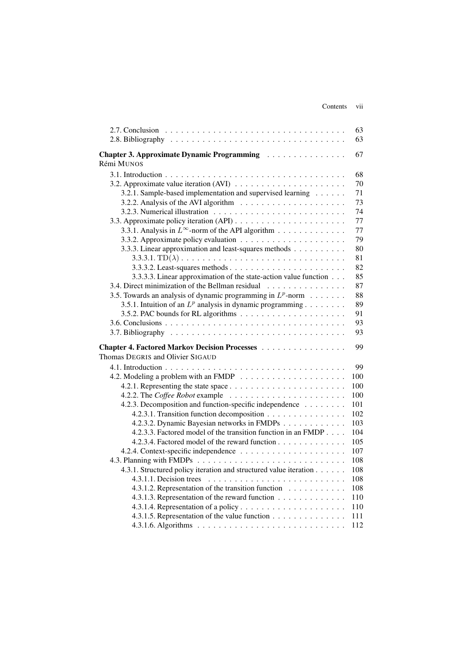|                                                                                  | 63  |
|----------------------------------------------------------------------------------|-----|
|                                                                                  | 63  |
| Chapter 3. Approximate Dynamic Programming                                       | 67  |
| Rémi MUNOS                                                                       |     |
|                                                                                  | 68  |
|                                                                                  | 70  |
| 3.2.1. Sample-based implementation and supervised learning                       | 71  |
| 3.2.2. Analysis of the AVI algorithm $\ldots \ldots \ldots \ldots \ldots \ldots$ | 73  |
|                                                                                  | 74  |
|                                                                                  | 77  |
| 3.3.1. Analysis in $L^{\infty}$ -norm of the API algorithm                       | 77  |
|                                                                                  | 79  |
| 3.3.3. Linear approximation and least-squares methods                            | 80  |
| 3.3.3.1. $TD(\lambda)$                                                           | 81  |
|                                                                                  | 82  |
| 3.3.3.3. Linear approximation of the state-action value function                 | 85  |
| 3.4. Direct minimization of the Bellman residual                                 | 87  |
| 3.5. Towards an analysis of dynamic programming in $L^p$ -norm                   | 88  |
| 3.5.1. Intuition of an $L^p$ analysis in dynamic programming                     | 89  |
|                                                                                  | 91  |
|                                                                                  | 93  |
|                                                                                  | 93  |
|                                                                                  |     |
| Chapter 4. Factored Markov Decision Processes                                    | 99  |
| Thomas DEGRIS and Olivier SIGAUD                                                 |     |
|                                                                                  | 99  |
|                                                                                  | 100 |
|                                                                                  | 100 |
|                                                                                  | 100 |
| 4.2.3. Decomposition and function-specific independence                          | 101 |
| 4.2.3.1. Transition function decomposition                                       | 102 |
| 4.2.3.2. Dynamic Bayesian networks in FMDPs                                      | 103 |
| 4.2.3.3. Factored model of the transition function in an FMDP                    | 104 |
| 4.2.3.4. Factored model of the reward function                                   | 105 |
|                                                                                  | 107 |
|                                                                                  | 108 |
| 4.3.1. Structured policy iteration and structured value iteration                | 108 |
|                                                                                  | 108 |
| 4.3.1.2. Representation of the transition function                               | 108 |
| 4.3.1.3. Representation of the reward function                                   | 110 |
|                                                                                  | 110 |
| 4.3.1.5. Representation of the value function                                    | 111 |
|                                                                                  | 112 |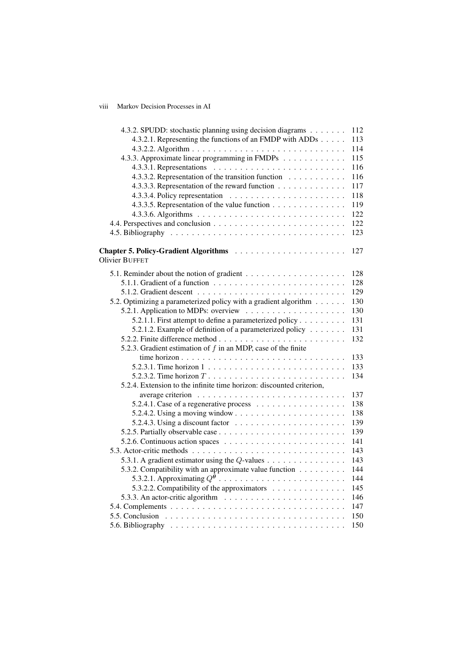# viii Markov Decision Processes in AI

| 4.3.2. SPUDD: stochastic planning using decision diagrams                             | 112 |
|---------------------------------------------------------------------------------------|-----|
| 4.3.2.1. Representing the functions of an FMDP with ADDs                              | 113 |
|                                                                                       | 114 |
| 4.3.3. Approximate linear programming in FMDPs                                        | 115 |
| 4.3.3.1. Representations $\ldots \ldots \ldots \ldots \ldots \ldots \ldots \ldots$    | 116 |
| 4.3.3.2. Representation of the transition function                                    | 116 |
| 4.3.3.3. Representation of the reward function                                        | 117 |
|                                                                                       | 118 |
| 4.3.3.5. Representation of the value function                                         | 119 |
|                                                                                       | 122 |
|                                                                                       | 122 |
|                                                                                       | 123 |
| <b>Olivier BUFFET</b>                                                                 | 127 |
|                                                                                       |     |
|                                                                                       | 128 |
|                                                                                       | 128 |
|                                                                                       | 129 |
| 5.2. Optimizing a parameterized policy with a gradient algorithm                      | 130 |
|                                                                                       | 130 |
| 5.2.1.1. First attempt to define a parameterized policy                               | 131 |
| 5.2.1.2. Example of definition of a parameterized policy $\ldots$                     | 131 |
|                                                                                       | 132 |
| 5.2.3. Gradient estimation of $f$ in an MDP, case of the finite                       |     |
|                                                                                       | 133 |
|                                                                                       | 133 |
| 5.2.3.2. Time horizon $T \dots \dots \dots \dots \dots \dots \dots \dots \dots \dots$ | 134 |
| 5.2.4. Extension to the infinite time horizon: discounted criterion,                  |     |
|                                                                                       | 137 |
|                                                                                       | 138 |
|                                                                                       | 138 |
| 5.2.4.3. Using a discount factor $\ldots \ldots \ldots \ldots \ldots \ldots$          | 139 |
|                                                                                       | 139 |
| 5.2.6. Continuous action spaces $\ldots \ldots \ldots \ldots \ldots \ldots \ldots$    | 141 |
|                                                                                       | 143 |
| 5.3.1. A gradient estimator using the $Q$ -values                                     | 143 |
| 5.3.2. Compatibility with an approximate value function                               | 144 |
|                                                                                       | 144 |
| 5.3.2.2. Compatibility of the approximators $\dots \dots \dots \dots$                 | 145 |
| 5.3.3. An actor-critic algorithm $\ldots \ldots \ldots \ldots \ldots \ldots \ldots$   | 146 |
|                                                                                       | 147 |
|                                                                                       | 150 |
|                                                                                       | 150 |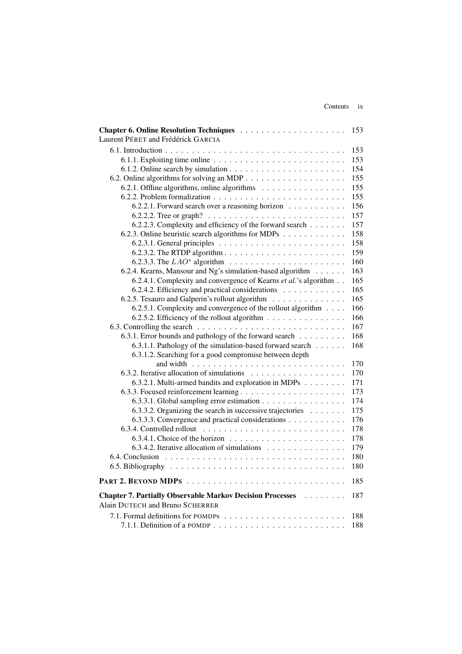|                                                                                            | 153 |
|--------------------------------------------------------------------------------------------|-----|
| Laurent PÉRET and Frédérick GARCIA                                                         |     |
|                                                                                            | 153 |
| $6.1.1$ . Exploiting time online $\ldots \ldots \ldots \ldots \ldots \ldots \ldots \ldots$ | 153 |
|                                                                                            | 154 |
|                                                                                            | 155 |
| 6.2.1. Offline algorithms, online algorithms                                               | 155 |
|                                                                                            | 155 |
| 6.2.2.1. Forward search over a reasoning horizon                                           | 156 |
|                                                                                            | 157 |
| 6.2.2.3. Complexity and efficiency of the forward search                                   | 157 |
| 6.2.3. Online heuristic search algorithms for MDPs                                         | 158 |
|                                                                                            | 158 |
|                                                                                            | 159 |
| 6.2.3.3. The $LAO^*$ algorithm $\ldots \ldots \ldots \ldots \ldots \ldots \ldots$          | 160 |
| 6.2.4. Kearns, Mansour and Ng's simulation-based algorithm                                 | 163 |
| 6.2.4.1. Complexity and convergence of Kearns et al.'s algorithm                           | 165 |
| 6.2.4.2. Efficiency and practical considerations                                           | 165 |
| 6.2.5. Tesauro and Galperin's rollout algorithm                                            | 165 |
| 6.2.5.1. Complexity and convergence of the rollout algorithm                               | 166 |
| 6.2.5.2. Efficiency of the rollout algorithm                                               | 166 |
|                                                                                            | 167 |
| 6.3.1. Error bounds and pathology of the forward search                                    | 168 |
| 6.3.1.1. Pathology of the simulation-based forward search                                  | 168 |
| 6.3.1.2. Searching for a good compromise between depth                                     |     |
|                                                                                            | 170 |
|                                                                                            | 170 |
| 6.3.2.1. Multi-armed bandits and exploration in MDPs                                       | 171 |
|                                                                                            | 173 |
| 6.3.3.1. Global sampling error estimation                                                  | 174 |
| 6.3.3.2. Organizing the search in successive trajectories $\dots \dots$                    | 175 |
| 6.3.3.3. Convergence and practical considerations                                          | 176 |
|                                                                                            | 178 |
|                                                                                            | 178 |
| 6.3.4.2. Iterative allocation of simulations $\dots \dots \dots \dots \dots$               | 179 |
|                                                                                            | 180 |
|                                                                                            | 180 |
|                                                                                            | 185 |
| <b>Chapter 7. Partially Observable Markov Decision Processes</b><br>$\cdots$               | 187 |
| Alain DUTECH and Bruno SCHERRER                                                            |     |
|                                                                                            | 188 |
|                                                                                            | 188 |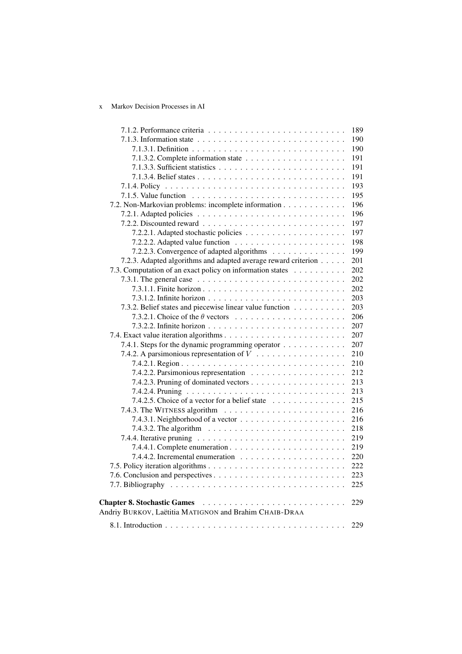# x Markov Decision Processes in AI

|                                                                                          | 189 |
|------------------------------------------------------------------------------------------|-----|
|                                                                                          | 190 |
|                                                                                          | 190 |
|                                                                                          | 191 |
|                                                                                          | 191 |
|                                                                                          | 191 |
|                                                                                          | 193 |
|                                                                                          | 195 |
| 7.2. Non-Markovian problems: incomplete information                                      | 196 |
|                                                                                          | 196 |
|                                                                                          | 197 |
|                                                                                          | 197 |
|                                                                                          | 198 |
| 7.2.2.3. Convergence of adapted algorithms                                               | 199 |
| 7.2.3. Adapted algorithms and adapted average reward criterion                           | 201 |
| 7.3. Computation of an exact policy on information states                                | 202 |
| 7.3.1. The general case $\ldots \ldots \ldots \ldots \ldots \ldots \ldots \ldots \ldots$ | 202 |
|                                                                                          | 202 |
|                                                                                          | 203 |
| 7.3.2. Belief states and piecewise linear value function                                 | 203 |
| 7.3.2.1. Choice of the $\theta$ vectors                                                  | 206 |
|                                                                                          | 207 |
|                                                                                          | 207 |
| 7.4.1. Steps for the dynamic programming operator                                        | 207 |
| 7.4.2. A parsimonious representation of $V_1, \ldots, \ldots, \ldots, \ldots, \ldots$    | 210 |
|                                                                                          | 210 |
|                                                                                          | 212 |
|                                                                                          | 213 |
|                                                                                          | 213 |
| 7.4.2.5. Choice of a vector for a belief state                                           | 215 |
|                                                                                          | 216 |
| 7.4.3.1. Neighborhood of a vector $\ldots \ldots \ldots \ldots \ldots \ldots$            | 216 |
| 7.4.3.2. The algorithm $\ldots \ldots \ldots \ldots \ldots \ldots \ldots \ldots$         | 218 |
|                                                                                          | 219 |
|                                                                                          | 219 |
|                                                                                          | 220 |
|                                                                                          | 222 |
|                                                                                          | 223 |
|                                                                                          | 225 |
|                                                                                          | 229 |
| Andriy BURKOV, Laëtitia MATIGNON and Brahim CHAIB-DRAA                                   |     |
|                                                                                          | 229 |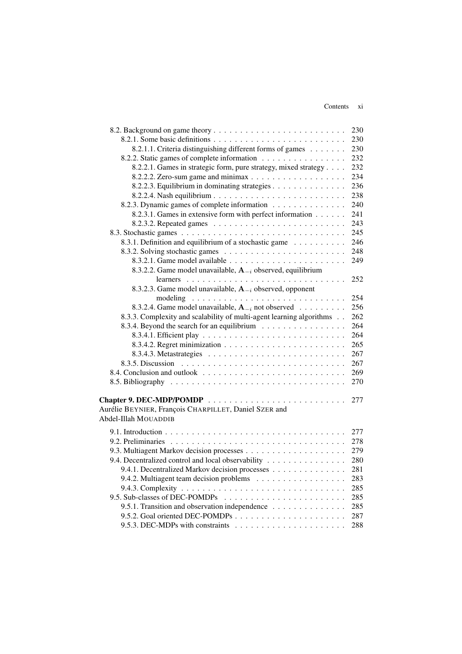### Contents xi

|                                                                              | 230 |
|------------------------------------------------------------------------------|-----|
|                                                                              | 230 |
| 8.2.1.1. Criteria distinguishing different forms of games                    | 230 |
| 8.2.2. Static games of complete information                                  | 232 |
| 8.2.2.1. Games in strategic form, pure strategy, mixed strategy              | 232 |
|                                                                              | 234 |
| 8.2.2.3. Equilibrium in dominating strategies                                | 236 |
|                                                                              | 238 |
| 8.2.3. Dynamic games of complete information                                 | 240 |
| 8.2.3.1. Games in extensive form with perfect information                    | 241 |
|                                                                              | 243 |
|                                                                              | 245 |
| 8.3.1. Definition and equilibrium of a stochastic game                       | 246 |
|                                                                              | 248 |
|                                                                              | 249 |
| 8.3.2.2. Game model unavailable, $A_{-i}$ observed, equilibrium              |     |
|                                                                              | 252 |
| 8.3.2.3. Game model unavailable, $A_{-i}$ observed, opponent                 |     |
|                                                                              | 254 |
| 8.3.2.4. Game model unavailable, $A_{-i}$ not observed                       | 256 |
| 8.3.3. Complexity and scalability of multi-agent learning algorithms         | 262 |
| 8.3.4. Beyond the search for an equilibrium                                  | 264 |
|                                                                              | 264 |
|                                                                              | 265 |
|                                                                              | 267 |
|                                                                              | 267 |
|                                                                              | 269 |
|                                                                              | 270 |
|                                                                              |     |
|                                                                              | 277 |
| Aurélie BEYNIER, François CHARPILLET, Daniel SZER and                        |     |
| Abdel-Illah MOUADDIB                                                         |     |
|                                                                              | 277 |
|                                                                              | 278 |
|                                                                              | 279 |
| 9.4. Decentralized control and local observability                           | 280 |
| 9.4.1. Decentralized Markov decision processes                               | 281 |
| 9.4.2. Multiagent team decision problems                                     | 283 |
|                                                                              | 285 |
|                                                                              | 285 |
| 9.5.1. Transition and observation independence                               | 285 |
|                                                                              | 287 |
| 9.5.3. DEC-MDPs with constraints $\ldots \ldots \ldots \ldots \ldots \ldots$ | 288 |
|                                                                              |     |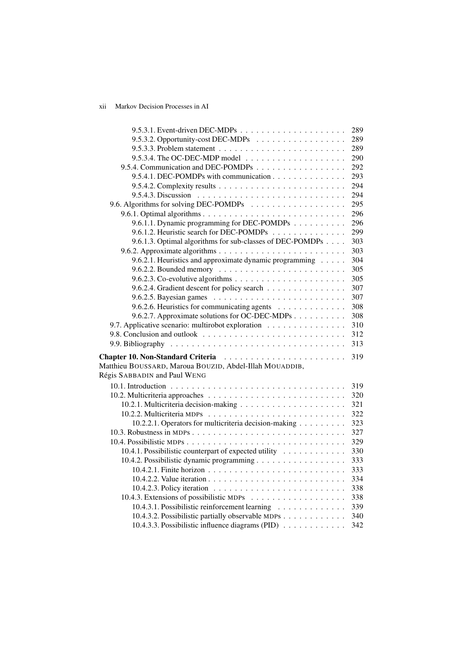# xii Markov Decision Processes in AI

|                                                                                                    | 289        |
|----------------------------------------------------------------------------------------------------|------------|
| 9.5.3.2. Opportunity-cost DEC-MDPs                                                                 | 289        |
|                                                                                                    | 289        |
| 9.5.3.4. The OC-DEC-MDP model $\ldots \ldots \ldots \ldots \ldots \ldots$                          | 290        |
| 9.5.4. Communication and DEC-POMDPs                                                                | 292        |
| 9.5.4.1. DEC-POMDPs with communication                                                             | 293        |
|                                                                                                    | 294        |
| 9.5.4.3. Discussion $\ldots \ldots \ldots \ldots \ldots \ldots \ldots \ldots \ldots$               | 294        |
|                                                                                                    | 295        |
|                                                                                                    | 296        |
| 9.6.1.1. Dynamic programming for DEC-POMDPs                                                        | 296        |
| 9.6.1.2. Heuristic search for DEC-POMDPs                                                           | 299        |
| 9.6.1.3. Optimal algorithms for sub-classes of DEC-POMDPs                                          | 303        |
|                                                                                                    | 303        |
| 9.6.2.1. Heuristics and approximate dynamic programming                                            | 304        |
|                                                                                                    | 305        |
|                                                                                                    | 305        |
| 9.6.2.4. Gradient descent for policy search                                                        | 307        |
|                                                                                                    | 307        |
| 9.6.2.6. Heuristics for communicating agents                                                       | 308        |
| 9.6.2.7. Approximate solutions for OC-DEC-MDPs                                                     | 308        |
| 9.7. Applicative scenario: multirobot exploration                                                  | 310        |
|                                                                                                    | 312        |
|                                                                                                    | 313        |
| <b>Chapter 10. Non-Standard Criteria</b>                                                           | 319        |
| Matthieu BOUSSARD, Maroua BOUZID, Abdel-Illah MOUADDIB,                                            |            |
| Régis SABBADIN and Paul WENG                                                                       |            |
|                                                                                                    |            |
|                                                                                                    | 319<br>320 |
|                                                                                                    | 321        |
|                                                                                                    | 322        |
| 10.2.2.1. Operators for multicriteria decision-making                                              | 323        |
|                                                                                                    | 327        |
|                                                                                                    | 329        |
|                                                                                                    | 330        |
| 10.4.1. Possibilistic counterpart of expected utility<br>10.4.2. Possibilistic dynamic programming | 333        |
|                                                                                                    | 333        |
|                                                                                                    | 334        |
|                                                                                                    | 338        |
|                                                                                                    |            |
|                                                                                                    | 338<br>339 |
| 10.4.3.1. Possibilistic reinforcement learning                                                     |            |
| 10.4.3.2. Possibilistic partially observable MDPs                                                  | 340        |
| 10.4.3.3. Possibilistic influence diagrams (PID) $\ldots$                                          | 342        |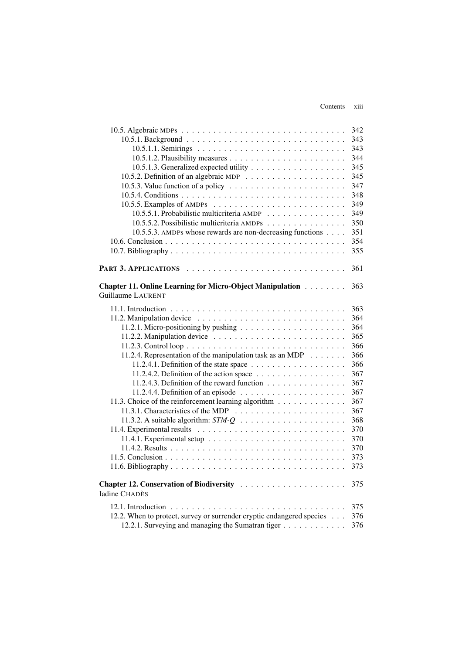#### Contents xiii

|                                                                                             | 342 |
|---------------------------------------------------------------------------------------------|-----|
|                                                                                             | 343 |
|                                                                                             | 343 |
|                                                                                             | 344 |
|                                                                                             | 345 |
|                                                                                             | 345 |
| 10.5.3. Value function of a policy $\ldots \ldots \ldots \ldots \ldots \ldots \ldots$       | 347 |
|                                                                                             | 348 |
|                                                                                             | 349 |
| 10.5.5.1. Probabilistic multicriteria AMDP                                                  | 349 |
| 10.5.5.2. Possibilistic multicriteria AMDPs                                                 | 350 |
| 10.5.5.3. AMDPs whose rewards are non-decreasing functions                                  | 351 |
|                                                                                             | 354 |
|                                                                                             | 355 |
|                                                                                             |     |
|                                                                                             | 361 |
|                                                                                             |     |
| Chapter 11. Online Learning for Micro-Object Manipulation                                   | 363 |
| <b>Guillaume LAURENT</b>                                                                    |     |
|                                                                                             | 363 |
|                                                                                             | 364 |
|                                                                                             | 364 |
| 11.2.1. Micro-positioning by pushing $\ldots \ldots \ldots \ldots \ldots \ldots$            | 365 |
|                                                                                             |     |
|                                                                                             | 366 |
| 11.2.4. Representation of the manipulation task as an MDP                                   | 366 |
| 11.2.4.1. Definition of the state space $\dots \dots \dots \dots \dots \dots$               | 366 |
| 11.2.4.2. Definition of the action space $\ldots \ldots \ldots \ldots \ldots \ldots$        | 367 |
| 11.2.4.3. Definition of the reward function                                                 | 367 |
|                                                                                             | 367 |
| 11.3. Choice of the reinforcement learning algorithm                                        | 367 |
|                                                                                             | 367 |
|                                                                                             | 368 |
|                                                                                             | 370 |
| 11.4.1. Experimental setup $\ldots \ldots \ldots \ldots \ldots \ldots \ldots \ldots \ldots$ | 370 |
|                                                                                             | 370 |
|                                                                                             | 373 |
|                                                                                             | 373 |
|                                                                                             |     |
|                                                                                             | 375 |
| <b>Iadine CHADÈS</b>                                                                        |     |
|                                                                                             | 375 |
| 12.2. When to protect, survey or surrender cryptic endangered species                       | 376 |
| 12.2.1. Surveying and managing the Sumatran tiger                                           | 376 |
|                                                                                             |     |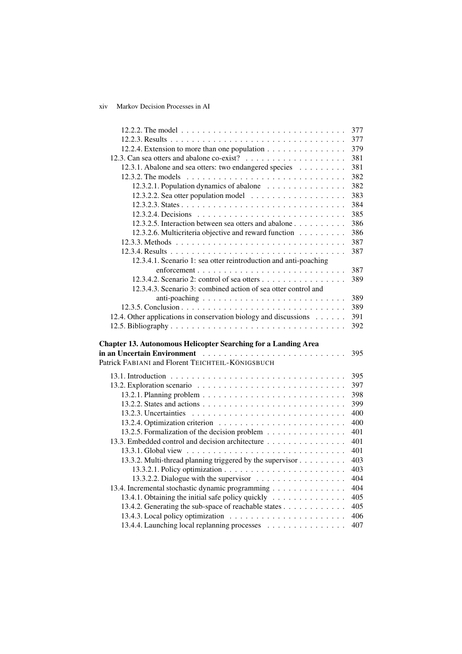# xiv Markov Decision Processes in AI

|                                                                                                                | 377 |
|----------------------------------------------------------------------------------------------------------------|-----|
|                                                                                                                | 377 |
| 12.2.4. Extension to more than one population                                                                  | 379 |
|                                                                                                                | 381 |
| 12.3.1. Abalone and sea otters: two endangered species                                                         | 381 |
|                                                                                                                | 382 |
| 12.3.2.1. Population dynamics of abalone                                                                       | 382 |
|                                                                                                                | 383 |
|                                                                                                                | 384 |
|                                                                                                                | 385 |
| 12.3.2.5. Interaction between sea otters and abalone                                                           | 386 |
| 12.3.2.6. Multicriteria objective and reward function                                                          | 386 |
|                                                                                                                | 387 |
|                                                                                                                | 387 |
| 12.3.4.1. Scenario 1: sea otter reintroduction and anti-poaching                                               |     |
|                                                                                                                | 387 |
| 12.3.4.2. Scenario 2: control of sea otters                                                                    | 389 |
| 12.3.4.3. Scenario 3: combined action of sea otter control and                                                 |     |
|                                                                                                                | 389 |
|                                                                                                                | 389 |
| 12.4. Other applications in conservation biology and discussions                                               | 391 |
|                                                                                                                | 392 |
|                                                                                                                |     |
| <b>Chapter 13. Autonomous Helicopter Searching for a Landing Area</b>                                          |     |
| in an Uncertain Environment (and all and all and all and all and all and all and all and all and all and all a | 395 |
| Patrick FABIANI and Florent TEICHTEIL-KÖNIGSBUCH                                                               |     |
|                                                                                                                | 395 |
|                                                                                                                | 397 |
|                                                                                                                | 398 |
|                                                                                                                | 399 |
|                                                                                                                | 400 |
|                                                                                                                | 400 |
| 13.2.5. Formalization of the decision problem                                                                  | 401 |
| 13.3. Embedded control and decision architecture                                                               | 401 |
|                                                                                                                | 401 |
| 13.3.2. Multi-thread planning triggered by the supervisor                                                      | 403 |
|                                                                                                                | 403 |
|                                                                                                                | 404 |
| 13.4. Incremental stochastic dynamic programming                                                               | 404 |
| 13.4.1. Obtaining the initial safe policy quickly                                                              | 405 |
| 13.4.2. Generating the sub-space of reachable states                                                           | 405 |
|                                                                                                                | 406 |
|                                                                                                                |     |
| 13.4.4. Launching local replanning processes                                                                   | 407 |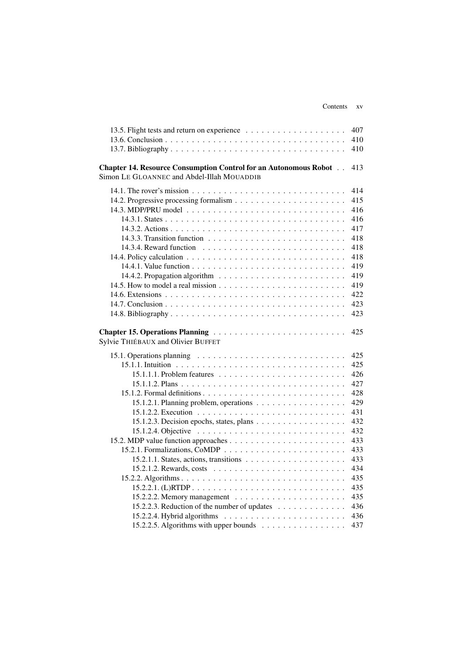|                                                                                                   | 407 |
|---------------------------------------------------------------------------------------------------|-----|
|                                                                                                   | 410 |
|                                                                                                   | 410 |
| <b>Chapter 14. Resource Consumption Control for an Autonomous Robot</b>                           | 413 |
| Simon LE GLOANNEC and Abdel-Illah MOUADDIB                                                        |     |
|                                                                                                   | 414 |
|                                                                                                   | 415 |
|                                                                                                   | 416 |
|                                                                                                   | 416 |
|                                                                                                   | 417 |
|                                                                                                   | 418 |
|                                                                                                   | 418 |
|                                                                                                   | 418 |
|                                                                                                   | 419 |
|                                                                                                   | 419 |
|                                                                                                   | 419 |
|                                                                                                   | 422 |
|                                                                                                   | 423 |
|                                                                                                   | 423 |
| Sylvie THIÉBAUX and Olivier BUFFET                                                                | 425 |
| 15.1. Operations planning $\ldots \ldots \ldots \ldots \ldots \ldots \ldots \ldots \ldots \ldots$ | 425 |
|                                                                                                   | 425 |
|                                                                                                   | 426 |
|                                                                                                   | 427 |
|                                                                                                   | 428 |
| 15.1.2.1. Planning problem, operations                                                            | 429 |
|                                                                                                   | 431 |
| 15.1.2.3. Decision epochs, states, plans                                                          | 432 |
|                                                                                                   | 432 |
|                                                                                                   | 433 |
|                                                                                                   | 433 |
|                                                                                                   | 433 |
|                                                                                                   | 434 |
|                                                                                                   | 435 |
|                                                                                                   | 435 |
|                                                                                                   | 435 |
| 15.2.2.3. Reduction of the number of updates                                                      | 436 |
|                                                                                                   | 436 |
| 15.2.2.5. Algorithms with upper bounds                                                            | 437 |